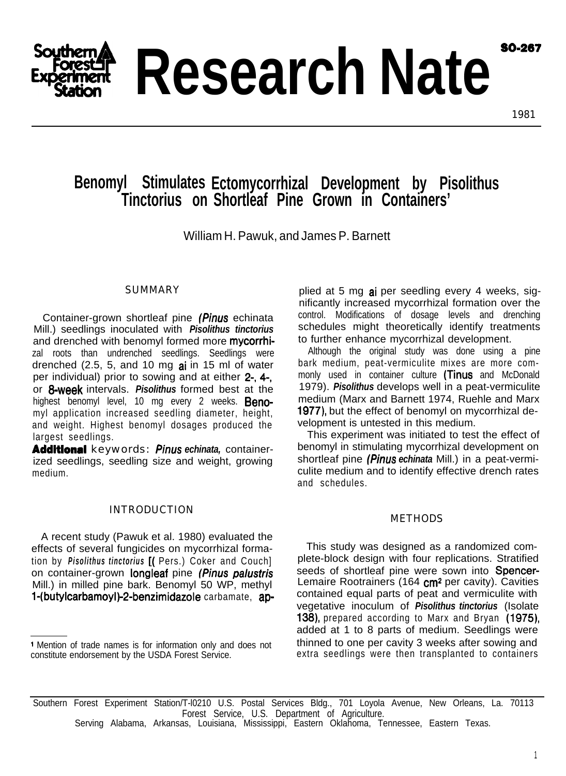**SO-267** 



1981

# **Benomyl Stimulates Ectomycorrhizal Development by Pisolithus Tinctorius on Shortleaf Pine Grown in Containers'**

William H. Pawuk, and James P. Barnett

## SUMMARY

Container-grown shortleaf pine (Pinus echinata Mill.) seedlings inoculated with *Pisolithus tinctorius* and drenched with benomyl formed more mycorrhizal roots than undrenched seedlings. Seedlings were drenched  $(2.5, 5, and 10 mg ai$  in 15 ml of water per individual) prior to sowing and at either 2-, 4-, or 8-week intervals. *Pisolithus* formed best at the highest benomyl level, 10 mg every 2 weeks. **Beno**myl application increased seedling diameter, height, and weight. Highest benomyl dosages produced the largest seedlings.

Addltlonal keywords: *Pinus echinata,* containerized seedlings, seedling size and weight, growing medium.

## INTRODUCTION

A recent study (Pawuk et al. 1980) evaluated the effects of several fungicides on mycorrhizal formation by *Pisolithus tinctorius* [( Pers.) Coker and Couch] on container-grown longleaf pine *(Pinus palustris* Mill.) in milled pine bark. Benomyl 50 WP, methyl 1-(butylcarbamoyl)-2-benzimidazole carbamate, ap-

plied at 5 mg ai per seedling every 4 weeks, significantly increased mycorrhizal formation over the control. Modifications of dosage levels and drenching schedules might theoretically identify treatments to further enhance mycorrhizal development.

Although the original study was done using a pine bark medium, peat-vermiculite mixes are more commonly used in container culture (Tinus and McDonald 1979). *Pisolithus* develops well in a peat-vermiculite medium (Marx and Barnett 1974, Ruehle and Marx 1977), but the effect of benomyl on mycorrhizal development is untested in this medium.

This experiment was initiated to test the effect of benomyl in stimulating mycorrhizal development on shortleaf pine *(Pinus echinata* Mill.) in a peat-vermiculite medium and to identify effective drench rates and schedules.

#### METHODS

This study was designed as a randomized complete-block design with four replications. Stratified seeds of shortleaf pine were sown into Spencer-Lemaire Rootrainers (164  $cm<sup>2</sup>$  per cavity). Cavities contained equal parts of peat and vermiculite with vegetative inoculum of *Pisolithus tinctorius* (Isolate 138), prepared according to Marx and Bryan (1975). added at 1 to 8 parts of medium. Seedlings were thinned to one per cavity 3 weeks after sowing and extra seedlings were then transplanted to containers

Southern Forest Experiment Station/T-l0210 U.S. Postal Services Bldg., 701 Loyola Avenue, New Orleans, La. 70113 Forest Service, U.S. Department of Agriculture. Serving Alabama, Arkansas, Louisiana, Mississippi, Eastern Oklahoma, Tennessee, Eastern Texas.

l Mention of trade names is for information only and does not constitute endorsement by the USDA Forest Service.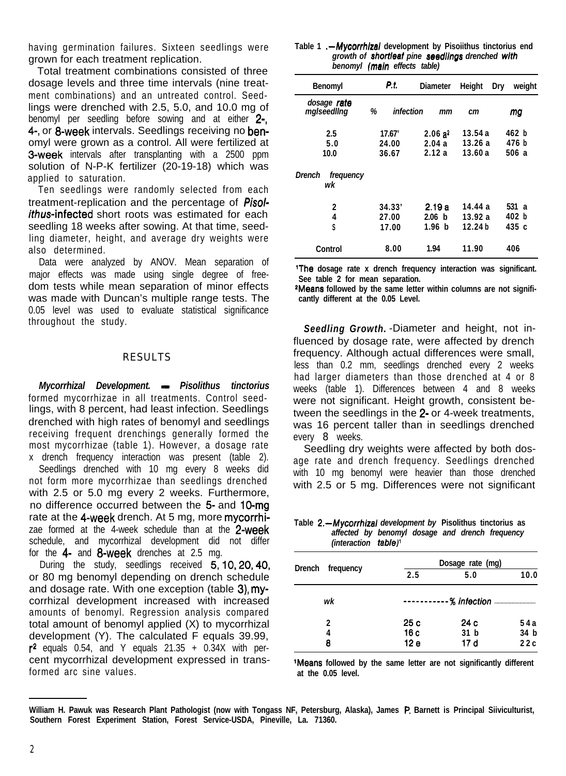having germination failures. Sixteen seedlings were grown for each treatment replication.

Total treatment combinations consisted of three dosage levels and three time intervals (nine treatment combinations) and an untreated control. Seedlings were drenched with 2.5, 5.0, and 10.0 mg of benomyl per seedling before sowing and at either 2-4-, or 8-week intervals. Seedlings receiving no benomyl were grown as a control. All were fertilized at **3-week** intervals after transplanting with a 2500 ppm solution of N-P-K fertilizer (20-19-18) which was applied to saturation.

Ten seedlings were randomly selected from each treatment-replication and the percentage of *Pisolithus*-infected short roots was estimated for each seedling 18 weeks after sowing. At that time, seedling diameter, height, and average dry weights were also determined.

Data were analyzed by ANOV. Mean separation of major effects was made using single degree of freedom tests while mean separation of minor effects was made with Duncan's multiple range tests. The 0.05 level was used to evaluate statistical significance throughout the study.

#### RESULTS

*Mycorrhizal Development. - Pisolithus tinctorius* formed mycorrhizae in all treatments. Control seedlings, with 8 percent, had least infection. Seedlings drenched with high rates of benomyl and seedlings receiving frequent drenchings generally formed the most mycorrhizae (table 1). However, a dosage rate x drench frequency interaction was present (table 2).

Seedlings drenched with 10 mg every 8 weeks did not form more mycorrhizae than seedlings drenched with 2.5 or 5.0 mg every 2 weeks. Furthermore, no difference occurred between the 5- and 10-mg rate at the 4-week drench. At 5 mg, more mycorrhizae formed at the 4-week schedule than at the 2-week schedule, and mycorrhizal development did not differ for the 4- and 8-week drenches at 2.5 mg.

During the study, seedlings received 5,10,20,40, or 80 mg benomyl depending on drench schedule and dosage rate. With one exception (table 3), mycorrhizal development increased with increased amounts of benomyl. Regression analysis compared total amount of benomyl applied (X) to mycorrhizal development (Y). The calculated F equals 39.99,  $r^2$  equals 0.54, and Y equals 21.35 + 0.34X with percent mycorrhizal development expressed in transformed arc sine values.

| Table 1.- Mycorrhizal development by Pisoiithus tinctorius end |
|----------------------------------------------------------------|
| growth of shortleaf pine seedlings drenched with               |
| benomyl (main effects table)                                   |

| Benomyl                    | P.I.                     | <b>Diameter</b>             | Height                        | weight<br>Dry           |
|----------------------------|--------------------------|-----------------------------|-------------------------------|-------------------------|
| dosage rate<br>malseedling | %<br>infection           | mm                          | cт                            | mg                      |
| 2.5<br>5.0<br>10.0         | 17.67'<br>24.00<br>36.67 | $2.06a^2$<br>2.04a<br>2.12a | 13.54 a<br>13.26 a<br>13.60a  | 462 b<br>476 b<br>506 a |
| Drench<br>frequency<br>wk  |                          |                             |                               |                         |
| 2<br>4<br>S                | 34.33'<br>27.00<br>17.00 | 2.19 a<br>2.06 b<br>1.96 b  | 14.44 a<br>13.92 a<br>12.24 h | 531 a<br>402 b<br>435 c |
| Control                    | 8.00                     | 1.94                        | 11.90                         | 406                     |

**'The dosage rate x drench frequency interaction was significant. See table 2 for mean separation.**

**2Means followed by the same letter within columns are not significantly different at the 0.05 Level.**

*Seedling Growth.* -Diameter and height, not influenced by dosage rate, were affected by drench frequency. Although actual differences were small, less than 0.2 mm, seedlings drenched every 2 weeks had larger diameters than those drenched at 4 or 8 weeks (table 1). Differences between 4 and 8 weeks were not significant. Height growth, consistent between the seedlings in the 2- or 4-week treatments, was 16 percent taller than in seedlings drenched every 8 weeks.

Seedling dry weights were affected by both dosage rate and drench frequency. Seedlings drenched with 10 mg benomyl were heavier than those drenched with 2.5 or 5 mg. Differences were not significant

**Table** *2.-Mycorrhizal development by* **Pisolithus tinctorius as** *affected by benomyl dosage and drench frequency (interaction table)'*

|                     | Dosage rate (mg) |                        |      |  |
|---------------------|------------------|------------------------|------|--|
| Drench<br>frequency | 2.5              | 5.0                    | 10.0 |  |
| wk                  |                  | -----------% infection |      |  |
| 2                   | 25c              | 24 c                   | 54a  |  |
| 4                   | 16c              | 31 <sub>b</sub>        | 34 b |  |
| 8                   | 12 <sub>e</sub>  | 17 d                   | 22c  |  |

**'Means followed by the same letter are not significantly different at the 0.05 level.**

**William H. Pawuk was Research Plant Pathologist (now with Tongass NF, Petersburg, Alaska), James P. Barnett is Principal Siiviculturist, Southern Forest Experiment Station, Forest Service-USDA, Pineville, La. 71360.**